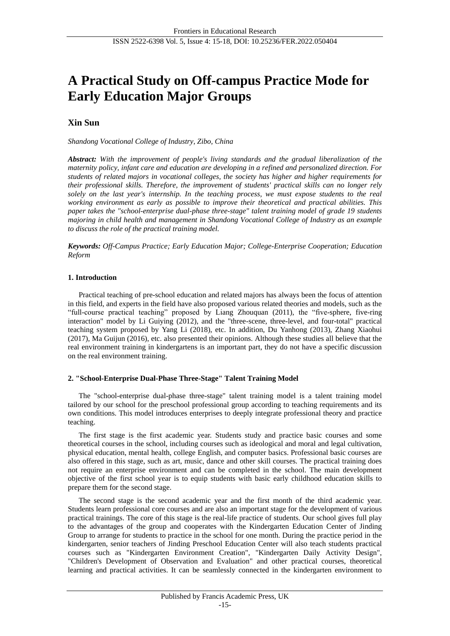# **A Practical Study on Off-campus Practice Mode for Early Education Major Groups**

# **Xin Sun**

*Shandong Vocational College of Industry, Zibo, China*

*Abstract: With the improvement of people's living standards and the gradual liberalization of the maternity policy, infant care and education are developing in a refined and personalized direction. For students of related majors in vocational colleges, the society has higher and higher requirements for their professional skills. Therefore, the improvement of students' practical skills can no longer rely solely on the last year's internship. In the teaching process, we must expose students to the real working environment as early as possible to improve their theoretical and practical abilities. This paper takes the "school-enterprise dual-phase three-stage" talent training model of grade 19 students majoring in child health and management in Shandong Vocational College of Industry as an example to discuss the role of the practical training model.*

*Keywords: Off-Campus Practice; Early Education Major; College-Enterprise Cooperation; Education Reform*

# **1. Introduction**

Practical teaching of pre-school education and related majors has always been the focus of attention in this field, and experts in the field have also proposed various related theories and models, such as the "full-course practical teaching" proposed by Liang Zhouquan (2011), the "five-sphere, five-ring interaction" model by Li Guiying (2012), and the "three-scene, three-level, and four-total" practical teaching system proposed by Yang Li (2018), etc. In addition, Du Yanhong (2013), Zhang Xiaohui (2017), Ma Guijun (2016), etc. also presented their opinions. Although these studies all believe that the real environment training in kindergartens is an important part, they do not have a specific discussion on the real environment training.

## **2. "School-Enterprise Dual-Phase Three-Stage" Talent Training Model**

The "school-enterprise dual-phase three-stage" talent training model is a talent training model tailored by our school for the preschool professional group according to teaching requirements and its own conditions. This model introduces enterprises to deeply integrate professional theory and practice teaching.

The first stage is the first academic year. Students study and practice basic courses and some theoretical courses in the school, including courses such as ideological and moral and legal cultivation, physical education, mental health, college English, and computer basics. Professional basic courses are also offered in this stage, such as art, music, dance and other skill courses. The practical training does not require an enterprise environment and can be completed in the school. The main development objective of the first school year is to equip students with basic early childhood education skills to prepare them for the second stage.

The second stage is the second academic year and the first month of the third academic year. Students learn professional core courses and are also an important stage for the development of various practical trainings. The core of this stage is the real-life practice of students. Our school gives full play to the advantages of the group and cooperates with the Kindergarten Education Center of Jinding Group to arrange for students to practice in the school for one month. During the practice period in the kindergarten, senior teachers of Jinding Preschool Education Center will also teach students practical courses such as "Kindergarten Environment Creation", "Kindergarten Daily Activity Design", "Children's Development of Observation and Evaluation" and other practical courses, theoretical learning and practical activities. It can be seamlessly connected in the kindergarten environment to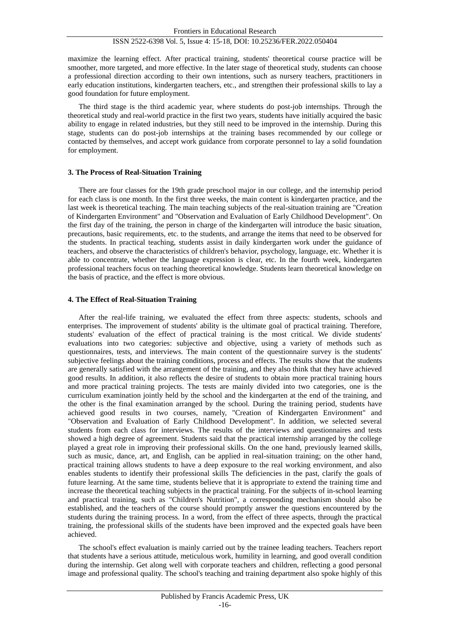## ISSN 2522-6398 Vol. 5, Issue 4: 15-18, DOI: 10.25236/FER.2022.050404

maximize the learning effect. After practical training, students' theoretical course practice will be smoother, more targeted, and more effective. In the later stage of theoretical study, students can choose a professional direction according to their own intentions, such as nursery teachers, practitioners in early education institutions, kindergarten teachers, etc., and strengthen their professional skills to lay a good foundation for future employment.

The third stage is the third academic year, where students do post-job internships. Through the theoretical study and real-world practice in the first two years, students have initially acquired the basic ability to engage in related industries, but they still need to be improved in the internship. During this stage, students can do post-job internships at the training bases recommended by our college or contacted by themselves, and accept work guidance from corporate personnel to lay a solid foundation for employment.

#### **3. The Process of Real-Situation Training**

There are four classes for the 19th grade preschool major in our college, and the internship period for each class is one month. In the first three weeks, the main content is kindergarten practice, and the last week is theoretical teaching. The main teaching subjects of the real-situation training are "Creation of Kindergarten Environment" and "Observation and Evaluation of Early Childhood Development". On the first day of the training, the person in charge of the kindergarten will introduce the basic situation, precautions, basic requirements, etc. to the students, and arrange the items that need to be observed for the students. In practical teaching, students assist in daily kindergarten work under the guidance of teachers, and observe the characteristics of children's behavior, psychology, language, etc. Whether it is able to concentrate, whether the language expression is clear, etc. In the fourth week, kindergarten professional teachers focus on teaching theoretical knowledge. Students learn theoretical knowledge on the basis of practice, and the effect is more obvious.

#### **4. The Effect of Real-Situation Training**

After the real-life training, we evaluated the effect from three aspects: students, schools and enterprises. The improvement of students' ability is the ultimate goal of practical training. Therefore, students' evaluation of the effect of practical training is the most critical. We divide students' evaluations into two categories: subjective and objective, using a variety of methods such as questionnaires, tests, and interviews. The main content of the questionnaire survey is the students' subjective feelings about the training conditions, process and effects. The results show that the students are generally satisfied with the arrangement of the training, and they also think that they have achieved good results. In addition, it also reflects the desire of students to obtain more practical training hours and more practical training projects. The tests are mainly divided into two categories, one is the curriculum examination jointly held by the school and the kindergarten at the end of the training, and the other is the final examination arranged by the school. During the training period, students have achieved good results in two courses, namely, "Creation of Kindergarten Environment" and "Observation and Evaluation of Early Childhood Development". In addition, we selected several students from each class for interviews. The results of the interviews and questionnaires and tests showed a high degree of agreement. Students said that the practical internship arranged by the college played a great role in improving their professional skills. On the one hand, previously learned skills, such as music, dance, art, and English, can be applied in real-situation training; on the other hand, practical training allows students to have a deep exposure to the real working environment, and also enables students to identify their professional skills The deficiencies in the past, clarify the goals of future learning. At the same time, students believe that it is appropriate to extend the training time and increase the theoretical teaching subjects in the practical training. For the subjects of in-school learning and practical training, such as "Children's Nutrition", a corresponding mechanism should also be established, and the teachers of the course should promptly answer the questions encountered by the students during the training process. In a word, from the effect of three aspects, through the practical training, the professional skills of the students have been improved and the expected goals have been achieved.

The school's effect evaluation is mainly carried out by the trainee leading teachers. Teachers report that students have a serious attitude, meticulous work, humility in learning, and good overall condition during the internship. Get along well with corporate teachers and children, reflecting a good personal image and professional quality. The school's teaching and training department also spoke highly of this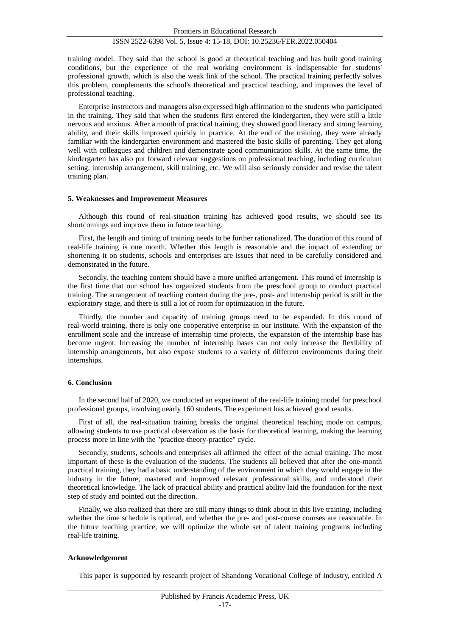#### ISSN 2522-6398 Vol. 5, Issue 4: 15-18, DOI: 10.25236/FER.2022.050404

training model. They said that the school is good at theoretical teaching and has built good training conditions, but the experience of the real working environment is indispensable for students' professional growth, which is also the weak link of the school. The practical training perfectly solves this problem, complements the school's theoretical and practical teaching, and improves the level of professional teaching.

Enterprise instructors and managers also expressed high affirmation to the students who participated in the training. They said that when the students first entered the kindergarten, they were still a little nervous and anxious. After a month of practical training, they showed good literacy and strong learning ability, and their skills improved quickly in practice. At the end of the training, they were already familiar with the kindergarten environment and mastered the basic skills of parenting. They get along well with colleagues and children and demonstrate good communication skills. At the same time, the kindergarten has also put forward relevant suggestions on professional teaching, including curriculum setting, internship arrangement, skill training, etc. We will also seriously consider and revise the talent training plan.

#### **5. Weaknesses and Improvement Measures**

Although this round of real-situation training has achieved good results, we should see its shortcomings and improve them in future teaching.

First, the length and timing of training needs to be further rationalized. The duration of this round of real-life training is one month. Whether this length is reasonable and the impact of extending or shortening it on students, schools and enterprises are issues that need to be carefully considered and demonstrated in the future.

Secondly, the teaching content should have a more unified arrangement. This round of internship is the first time that our school has organized students from the preschool group to conduct practical training. The arrangement of teaching content during the pre-, post- and internship period is still in the exploratory stage, and there is still a lot of room for optimization in the future.

Thirdly, the number and capacity of training groups need to be expanded. In this round of real-world training, there is only one cooperative enterprise in our institute. With the expansion of the enrollment scale and the increase of internship time projects, the expansion of the internship base has become urgent. Increasing the number of internship bases can not only increase the flexibility of internship arrangements, but also expose students to a variety of different environments during their internships.

#### **6. Conclusion**

In the second half of 2020, we conducted an experiment of the real-life training model for preschool professional groups, involving nearly 160 students. The experiment has achieved good results.

First of all, the real-situation training breaks the original theoretical teaching mode on campus, allowing students to use practical observation as the basis for theoretical learning, making the learning process more in line with the "practice-theory-practice" cycle.

Secondly, students, schools and enterprises all affirmed the effect of the actual training. The most important of these is the evaluation of the students. The students all believed that after the one-month practical training, they had a basic understanding of the environment in which they would engage in the industry in the future, mastered and improved relevant professional skills, and understood their theoretical knowledge. The lack of practical ability and practical ability laid the foundation for the next step of study and pointed out the direction.

Finally, we also realized that there are still many things to think about in this live training, including whether the time schedule is optimal, and whether the pre- and post-course courses are reasonable. In the future teaching practice, we will optimize the whole set of talent training programs including real-life training.

#### **Acknowledgement**

This paper is supported by research project of Shandong Vocational College of Industry, entitled A